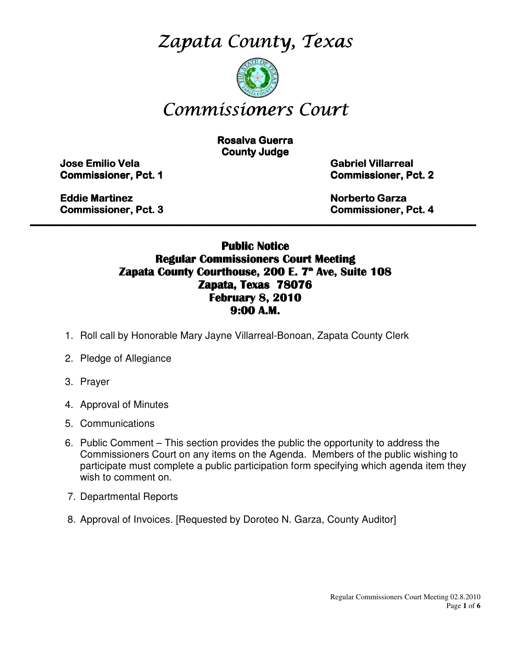Zapata County, Texas



# Commissioners Court

**Rosalva Guerra County Judge** 

Jose Emilio Vela Emilio Vela Vela Gabriel Villarreal Villarreal Villarreal

**Commissioner, Pct. 1 Commissioner, Pct. 2** 

Eddie Martinez **Eddie Martinez** Norberto Garza Garza Garza Garza Garza Garza Garza Garza Garza Garza Garza Garza Garza Garza Garza Garza Garza Garza Garza Garza Garza Garza Garza Garza Garza Garza Garza Garza Garza Garza G

Commissioner, Pct. 3 3 Commissioner, Pct. 4

#### Public Notice Regular Commissioners Court Meeting Zapata County Courthouse, 200 E. 7<sup>th</sup> Ave, Suite 108 Zapata, Texas 78076 February 8, 2010 9:00 A.M.

\_\_\_\_\_\_\_\_\_\_\_\_\_\_\_\_\_\_\_\_\_\_\_\_\_\_\_\_\_\_\_\_\_\_\_\_\_\_\_\_\_\_\_\_\_\_\_\_\_\_\_\_\_\_\_\_\_\_\_\_\_\_\_\_\_\_\_\_\_\_\_\_\_\_\_\_\_\_\_\_\_\_\_\_\_\_\_\_\_

- 1. Roll call by Honorable Mary Jayne Villarreal-Bonoan, Zapata County Clerk
- 2. Pledge of Allegiance
- 3. Prayer
- 4. Approval of Minutes
- 5. Communications
- 6. Public Comment This section provides the public the opportunity to address the Commissioners Court on any items on the Agenda. Members of the public wishing to participate must complete a public participation form specifying which agenda item they wish to comment on.
- 7. Departmental Reports
- 8. Approval of Invoices. [Requested by Doroteo N. Garza, County Auditor]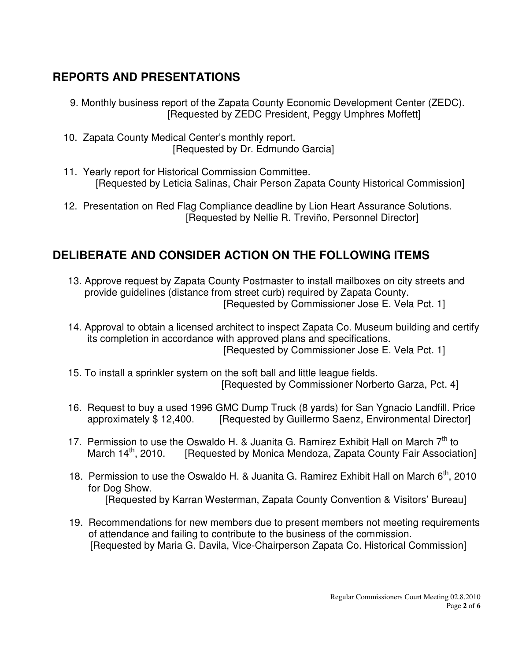## **REPORTS AND PRESENTATIONS**

- 9. Monthly business report of the Zapata County Economic Development Center (ZEDC). [Requested by ZEDC President, Peggy Umphres Moffett]
- 10. Zapata County Medical Center's monthly report. [Requested by Dr. Edmundo Garcia]
- 11. Yearly report for Historical Commission Committee. [Requested by Leticia Salinas, Chair Person Zapata County Historical Commission]
- 12. Presentation on Red Flag Compliance deadline by Lion Heart Assurance Solutions. [Requested by Nellie R. Treviño, Personnel Director]

### **DELIBERATE AND CONSIDER ACTION ON THE FOLLOWING ITEMS**

- 13. Approve request by Zapata County Postmaster to install mailboxes on city streets and provide guidelines (distance from street curb) required by Zapata County. [Requested by Commissioner Jose E. Vela Pct. 1]
- 14. Approval to obtain a licensed architect to inspect Zapata Co. Museum building and certify its completion in accordance with approved plans and specifications. [Requested by Commissioner Jose E. Vela Pct. 1]
- 15. To install a sprinkler system on the soft ball and little league fields. [Requested by Commissioner Norberto Garza, Pct. 4]
- 16. Request to buy a used 1996 GMC Dump Truck (8 yards) for San Ygnacio Landfill. Price approximately \$12,400. [Requested by Guillermo Saenz, Environmental Director]
- 17. Permission to use the Oswaldo H. & Juanita G. Ramirez Exhibit Hall on March  $7<sup>th</sup>$  to March 14<sup>th</sup>, 2010. [Requested by Monica Mendoza, Zapata County Fair Associat [Requested by Monica Mendoza, Zapata County Fair Association]
- 18. Permission to use the Oswaldo H. & Juanita G. Ramirez Exhibit Hall on March 6<sup>th</sup>, 2010 for Dog Show. [Requested by Karran Westerman, Zapata County Convention & Visitors' Bureau]
- 19. Recommendations for new members due to present members not meeting requirements of attendance and failing to contribute to the business of the commission. [Requested by Maria G. Davila, Vice-Chairperson Zapata Co. Historical Commission]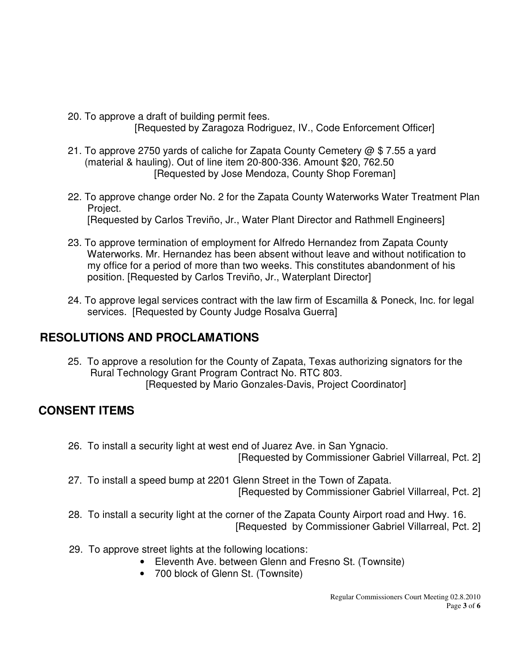- 20. To approve a draft of building permit fees. [Requested by Zaragoza Rodriguez, IV., Code Enforcement Officer]
- 21. To approve 2750 yards of caliche for Zapata County Cemetery  $\omega$  \$ 7.55 a yard (material & hauling). Out of line item 20-800-336. Amount \$20, 762.50 [Requested by Jose Mendoza, County Shop Foreman]
- 22. To approve change order No. 2 for the Zapata County Waterworks Water Treatment Plan Project. [Requested by Carlos Treviño, Jr., Water Plant Director and Rathmell Engineers]
- 23. To approve termination of employment for Alfredo Hernandez from Zapata County Waterworks. Mr. Hernandez has been absent without leave and without notification to my office for a period of more than two weeks. This constitutes abandonment of his position. [Requested by Carlos Treviño, Jr., Waterplant Director]
- 24. To approve legal services contract with the law firm of Escamilla & Poneck, Inc. for legal services. [Requested by County Judge Rosalva Guerra]

### **RESOLUTIONS AND PROCLAMATIONS**

 25. To approve a resolution for the County of Zapata, Texas authorizing signators for the Rural Technology Grant Program Contract No. RTC 803. [Requested by Mario Gonzales-Davis, Project Coordinator]

### **CONSENT ITEMS**

- 26. To install a security light at west end of Juarez Ave. in San Ygnacio. [Requested by Commissioner Gabriel Villarreal, Pct. 2]
- 27. To install a speed bump at 2201 Glenn Street in the Town of Zapata. [Requested by Commissioner Gabriel Villarreal, Pct. 2]
- 28. To install a security light at the corner of the Zapata County Airport road and Hwy. 16. [Requested by Commissioner Gabriel Villarreal, Pct. 2]
- 29. To approve street lights at the following locations:
	- Eleventh Ave. between Glenn and Fresno St. (Townsite)
	- 700 block of Glenn St. (Townsite)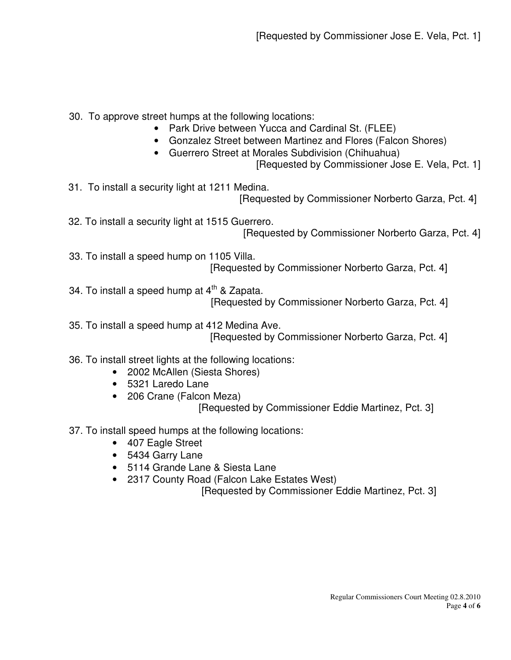30. To approve street humps at the following locations:

- Park Drive between Yucca and Cardinal St. (FLEE)
- Gonzalez Street between Martinez and Flores (Falcon Shores)
- Guerrero Street at Morales Subdivision (Chihuahua)
	- [Requested by Commissioner Jose E. Vela, Pct. 1]

31. To install a security light at 1211 Medina.

[Requested by Commissioner Norberto Garza, Pct. 4]

 32. To install a security light at 1515 Guerrero. [Requested by Commissioner Norberto Garza, Pct. 4]

- 33. To install a speed hump on 1105 Villa. [Requested by Commissioner Norberto Garza, Pct. 4]
- 34. To install a speed hump at  $4<sup>th</sup>$  & Zapata. [Requested by Commissioner Norberto Garza, Pct. 4]

 35. To install a speed hump at 412 Medina Ave. [Requested by Commissioner Norberto Garza, Pct. 4]

#### 36. To install street lights at the following locations:

- 2002 McAllen (Siesta Shores)
- 5321 Laredo Lane
- 206 Crane (Falcon Meza)

[Requested by Commissioner Eddie Martinez, Pct. 3]

37. To install speed humps at the following locations:

- 407 Eagle Street
- 5434 Garry Lane
- 5114 Grande Lane & Siesta Lane
- 2317 County Road (Falcon Lake Estates West)

[Requested by Commissioner Eddie Martinez, Pct. 3]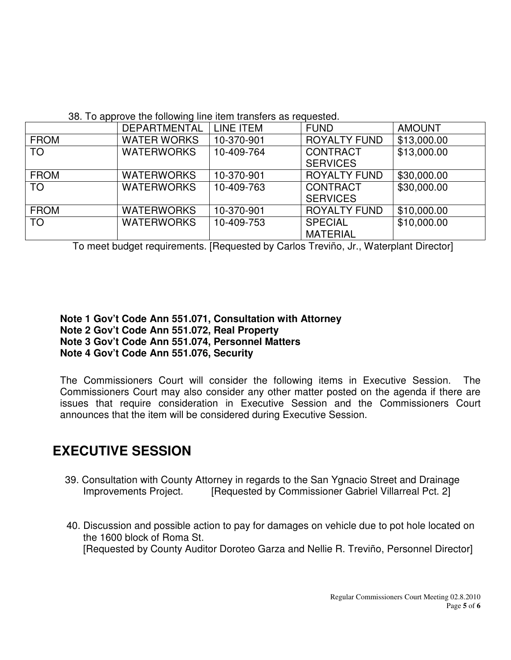38. To approve the following line item transfers as requested.

|             | <b>DEPARTMENTAL</b> | <b>LINE ITEM</b> | <b>FUND</b>         | <b>AMOUNT</b> |
|-------------|---------------------|------------------|---------------------|---------------|
| <b>FROM</b> | <b>WATER WORKS</b>  | 10-370-901       | <b>ROYALTY FUND</b> | \$13,000.00   |
| <b>TO</b>   | <b>WATERWORKS</b>   | 10-409-764       | <b>CONTRACT</b>     | \$13,000.00   |
|             |                     |                  | <b>SERVICES</b>     |               |
| <b>FROM</b> | <b>WATERWORKS</b>   | 10-370-901       | <b>ROYALTY FUND</b> | \$30,000.00   |
| <b>TO</b>   | <b>WATERWORKS</b>   | 10-409-763       | <b>CONTRACT</b>     | \$30,000.00   |
|             |                     |                  | <b>SERVICES</b>     |               |
| <b>FROM</b> | <b>WATERWORKS</b>   | 10-370-901       | <b>ROYALTY FUND</b> | \$10,000.00   |
| <b>TO</b>   | <b>WATERWORKS</b>   | 10-409-753       | <b>SPECIAL</b>      | \$10,000.00   |
|             |                     |                  | <b>MATERIAL</b>     |               |

To meet budget requirements. [Requested by Carlos Treviño, Jr., Waterplant Director]

**Note 1 Gov't Code Ann 551.071, Consultation with Attorney Note 2 Gov't Code Ann 551.072, Real Property Note 3 Gov't Code Ann 551.074, Personnel Matters Note 4 Gov't Code Ann 551.076, Security** 

The Commissioners Court will consider the following items in Executive Session. The Commissioners Court may also consider any other matter posted on the agenda if there are issues that require consideration in Executive Session and the Commissioners Court announces that the item will be considered during Executive Session.

# **EXECUTIVE SESSION**

- 39. Consultation with County Attorney in regards to the San Ygnacio Street and Drainage Improvements Project. [Requested by Commissioner Gabriel Villarreal Pct. 2]
- 40. Discussion and possible action to pay for damages on vehicle due to pot hole located on the 1600 block of Roma St. [Requested by County Auditor Doroteo Garza and Nellie R. Treviño, Personnel Director]